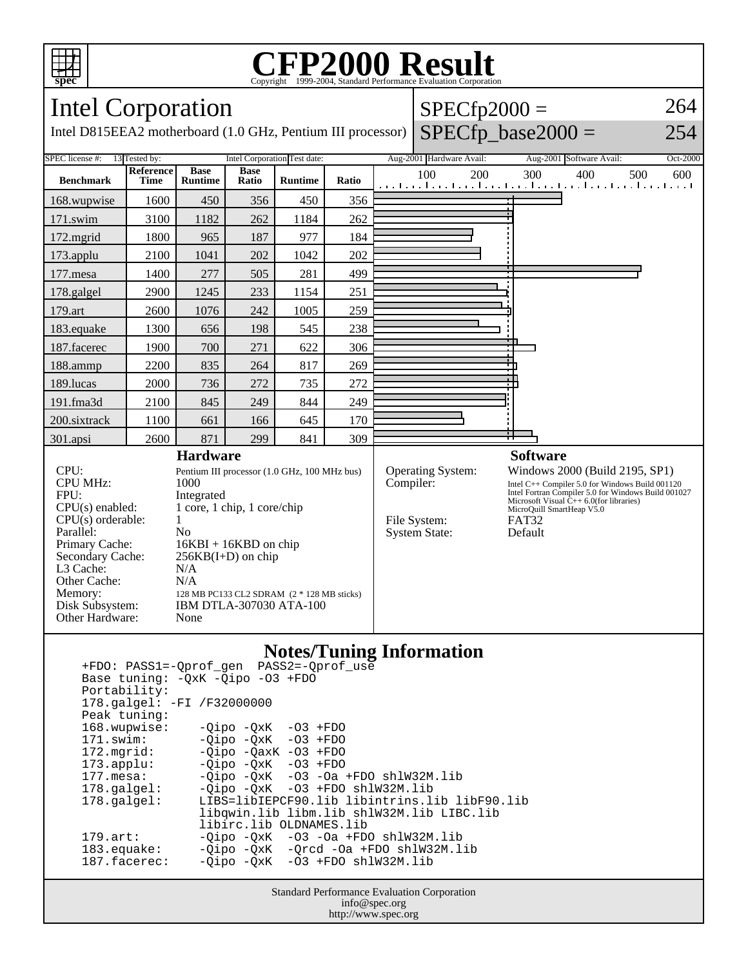

## Copyright ©1999-2004, Standard Performance Evaluation Corporation

| <b>Intel Corporation</b>                                                                                                                                                                                   |                          |                                                                                                                                                                                                                                                                            |                      |                | $SPECfp2000 =$ |  |                                                                               | 264 |                                                                                                                                                                                                                                                          |            |
|------------------------------------------------------------------------------------------------------------------------------------------------------------------------------------------------------------|--------------------------|----------------------------------------------------------------------------------------------------------------------------------------------------------------------------------------------------------------------------------------------------------------------------|----------------------|----------------|----------------|--|-------------------------------------------------------------------------------|-----|----------------------------------------------------------------------------------------------------------------------------------------------------------------------------------------------------------------------------------------------------------|------------|
| $SPECfp\_base2000 =$<br>Intel D815EEA2 motherboard (1.0 GHz, Pentium III processor)<br>254                                                                                                                 |                          |                                                                                                                                                                                                                                                                            |                      |                |                |  |                                                                               |     |                                                                                                                                                                                                                                                          |            |
| Intel Corporation Test date:<br><b>SPEC</b> license #:<br>13 Tested by:                                                                                                                                    |                          |                                                                                                                                                                                                                                                                            |                      |                |                |  | Aug-2001 Hardware Avail:                                                      |     | Aug-2001 Software Avail:                                                                                                                                                                                                                                 | Oct-2000   |
| <b>Benchmark</b>                                                                                                                                                                                           | <b>Reference</b><br>Time | <b>Base</b><br><b>Runtime</b>                                                                                                                                                                                                                                              | <b>Base</b><br>Ratio | <b>Runtime</b> | Ratio          |  | 100                                                                           | 200 | 300<br>400<br>المعما ويتلو بالمتواجئ والمتواجعة المتواجعة المتواجعة المتواجئة                                                                                                                                                                            | 500<br>600 |
| 168.wupwise                                                                                                                                                                                                | 1600                     | 450                                                                                                                                                                                                                                                                        | 356                  | 450            | 356            |  |                                                                               |     |                                                                                                                                                                                                                                                          |            |
| 171.swim                                                                                                                                                                                                   | 3100                     | 1182                                                                                                                                                                                                                                                                       | 262                  | 1184           | 262            |  |                                                                               |     |                                                                                                                                                                                                                                                          |            |
| 172.mgrid                                                                                                                                                                                                  | 1800                     | 965                                                                                                                                                                                                                                                                        | 187                  | 977            | 184            |  |                                                                               |     |                                                                                                                                                                                                                                                          |            |
| 173.applu                                                                                                                                                                                                  | 2100                     | 1041                                                                                                                                                                                                                                                                       | 202                  | 1042           | 202            |  |                                                                               |     |                                                                                                                                                                                                                                                          |            |
| 177.mesa                                                                                                                                                                                                   | 1400                     | 277                                                                                                                                                                                                                                                                        | 505                  | 281            | 499            |  |                                                                               |     |                                                                                                                                                                                                                                                          |            |
| 178.galgel                                                                                                                                                                                                 | 2900                     | 1245                                                                                                                                                                                                                                                                       | 233                  | 1154           | 251            |  |                                                                               |     |                                                                                                                                                                                                                                                          |            |
| 179.art                                                                                                                                                                                                    | 2600                     | 1076                                                                                                                                                                                                                                                                       | 242                  | 1005           | 259            |  |                                                                               |     |                                                                                                                                                                                                                                                          |            |
| 183.equake                                                                                                                                                                                                 | 1300                     | 656                                                                                                                                                                                                                                                                        | 198                  | 545            | 238            |  |                                                                               |     |                                                                                                                                                                                                                                                          |            |
| 187.facerec                                                                                                                                                                                                | 1900                     | 700                                                                                                                                                                                                                                                                        | 271                  | 622            | 306            |  |                                                                               |     |                                                                                                                                                                                                                                                          |            |
| 188.ammp                                                                                                                                                                                                   | 2200                     | 835                                                                                                                                                                                                                                                                        | 264                  | 817            | 269            |  |                                                                               |     |                                                                                                                                                                                                                                                          |            |
| 189.lucas                                                                                                                                                                                                  | 2000                     | 736                                                                                                                                                                                                                                                                        | 272                  | 735            | 272            |  |                                                                               |     |                                                                                                                                                                                                                                                          |            |
| 191.fma3d                                                                                                                                                                                                  | 2100                     | 845                                                                                                                                                                                                                                                                        | 249                  | 844            | 249            |  |                                                                               |     |                                                                                                                                                                                                                                                          |            |
| 200.sixtrack                                                                                                                                                                                               | 1100                     | 661                                                                                                                                                                                                                                                                        | 166                  | 645            | 170            |  |                                                                               |     |                                                                                                                                                                                                                                                          |            |
| 301.apsi                                                                                                                                                                                                   | 2600                     | 871                                                                                                                                                                                                                                                                        | 299                  | 841            | 309            |  |                                                                               |     | ÷                                                                                                                                                                                                                                                        |            |
|                                                                                                                                                                                                            |                          | <b>Hardware</b>                                                                                                                                                                                                                                                            |                      |                |                |  |                                                                               |     | <b>Software</b>                                                                                                                                                                                                                                          |            |
| CPU:<br><b>CPU MHz:</b><br>FPU:<br>$CPU(s)$ enabled:<br>CPU(s) orderable:<br>Parallel:<br>Primary Cache:<br>Secondary Cache:<br>L3 Cache:<br>Other Cache:<br>Memory:<br>Disk Subsystem:<br>Other Hardware: |                          | Pentium III processor (1.0 GHz, 100 MHz bus)<br>1000<br>Integrated<br>1 core, 1 chip, 1 core/chip<br>1<br>N <sub>0</sub><br>$16KBI + 16KBD$ on chip<br>$256KB(I+D)$ on chip<br>N/A<br>N/A<br>128 MB PC133 CL2 SDRAM (2 * 128 MB sticks)<br>IBM DTLA-307030 ATA-100<br>None |                      |                |                |  | <b>Operating System:</b><br>Compiler:<br>File System:<br><b>System State:</b> |     | Windows 2000 (Build 2195, SP1)<br>Intel C++ Compiler 5.0 for Windows Build 001120<br>Intel Fortran Compiler 5.0 for Windows Build 001027<br>Microsoft Visual $\tilde{C}_{++}$ 6.0(for libraries)<br>MicroQuill SmartHeap V5.0<br><b>FAT32</b><br>Default |            |
| <b>Notes/Tuning Information</b>                                                                                                                                                                            |                          |                                                                                                                                                                                                                                                                            |                      |                |                |  |                                                                               |     |                                                                                                                                                                                                                                                          |            |

## **Notes: Example**

|                                      | +FDO: PASS1=-Oprof gen PASS2=-Oprof use         |  |  |  |  |  |  |  |
|--------------------------------------|-------------------------------------------------|--|--|--|--|--|--|--|
| Base tuning: - OxK - Oipo - 03 + FDO |                                                 |  |  |  |  |  |  |  |
| Portability:                         |                                                 |  |  |  |  |  |  |  |
| 178.galgel: -FI /F32000000           |                                                 |  |  |  |  |  |  |  |
|                                      |                                                 |  |  |  |  |  |  |  |
| Peak tuning:                         |                                                 |  |  |  |  |  |  |  |
| 168.wupwise:                         | $-Oipo -OXK -O3 + FDO$                          |  |  |  |  |  |  |  |
| $171$ .swim:                         | $-Oipo -OXK -O3 + FDO$                          |  |  |  |  |  |  |  |
|                                      | 172.mgrid: -Qipo -QaxK -03 +FDO                 |  |  |  |  |  |  |  |
| $173.\text{applu}:$                  | -Oipo -OxK -O3 +FDO                             |  |  |  |  |  |  |  |
| 177.mesa:                            | $-Oipo$ $-OXK$ $-O3$ $-Oa$ $+FDO$ $sh1W32M.lib$ |  |  |  |  |  |  |  |
| 178.qalqel:                          | $-Oipo -OXK -O3 + FDO sh1W32M.lib$              |  |  |  |  |  |  |  |
| $178$ .galgel:                       | LIBS=libIEPCF90.lib libintrins.lib libF90.lib   |  |  |  |  |  |  |  |
|                                      | libqwin.lib libm.lib shlW32M.lib LIBC.lib       |  |  |  |  |  |  |  |
|                                      | libirc.lib OLDNAMES.lib                         |  |  |  |  |  |  |  |
| $179.\text{art}:$                    | $-Oipo$ $-OXK$ $-O3$ $-Oa$ $+FDO$ $sh1W32M.lib$ |  |  |  |  |  |  |  |
| 183.equake:                          | -Qipo -QxK -Qrcd -Oa +FDO shlW32M.lib           |  |  |  |  |  |  |  |
| 187.facerec:                         | $-Oipo -OXK -O3 + FDO shlW32M.lib$              |  |  |  |  |  |  |  |
|                                      |                                                 |  |  |  |  |  |  |  |

Standard Performance Evaluation Corporation info@spec.org http://www.spec.org